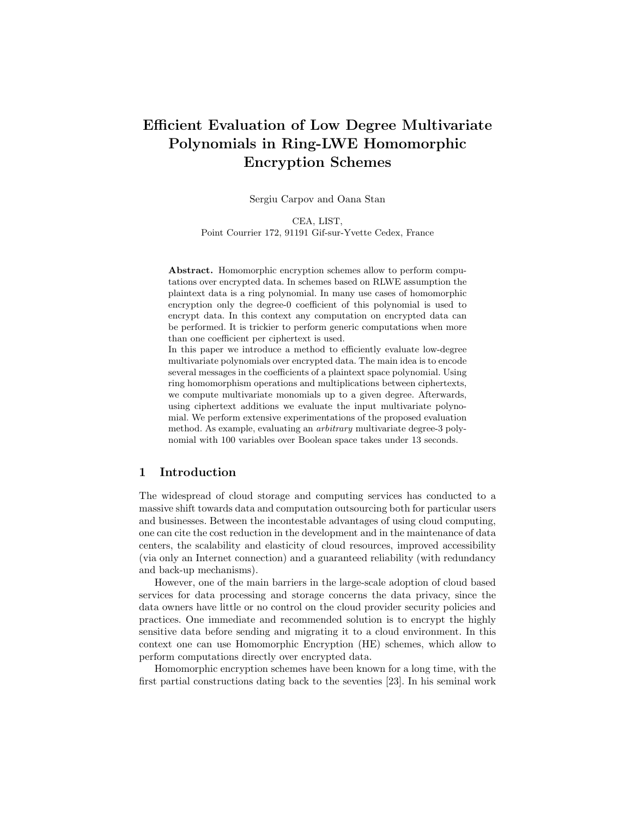# Efficient Evaluation of Low Degree Multivariate Polynomials in Ring-LWE Homomorphic Encryption Schemes

Sergiu Carpov and Oana Stan

CEA, LIST, Point Courrier 172, 91191 Gif-sur-Yvette Cedex, France

Abstract. Homomorphic encryption schemes allow to perform computations over encrypted data. In schemes based on RLWE assumption the plaintext data is a ring polynomial. In many use cases of homomorphic encryption only the degree-0 coefficient of this polynomial is used to encrypt data. In this context any computation on encrypted data can be performed. It is trickier to perform generic computations when more than one coefficient per ciphertext is used.

In this paper we introduce a method to efficiently evaluate low-degree multivariate polynomials over encrypted data. The main idea is to encode several messages in the coefficients of a plaintext space polynomial. Using ring homomorphism operations and multiplications between ciphertexts, we compute multivariate monomials up to a given degree. Afterwards, using ciphertext additions we evaluate the input multivariate polynomial. We perform extensive experimentations of the proposed evaluation method. As example, evaluating an arbitrary multivariate degree-3 polynomial with 100 variables over Boolean space takes under 13 seconds.

## 1 Introduction

The widespread of cloud storage and computing services has conducted to a massive shift towards data and computation outsourcing both for particular users and businesses. Between the incontestable advantages of using cloud computing, one can cite the cost reduction in the development and in the maintenance of data centers, the scalability and elasticity of cloud resources, improved accessibility (via only an Internet connection) and a guaranteed reliability (with redundancy and back-up mechanisms).

However, one of the main barriers in the large-scale adoption of cloud based services for data processing and storage concerns the data privacy, since the data owners have little or no control on the cloud provider security policies and practices. One immediate and recommended solution is to encrypt the highly sensitive data before sending and migrating it to a cloud environment. In this context one can use Homomorphic Encryption (HE) schemes, which allow to perform computations directly over encrypted data.

Homomorphic encryption schemes have been known for a long time, with the first partial constructions dating back to the seventies [23]. In his seminal work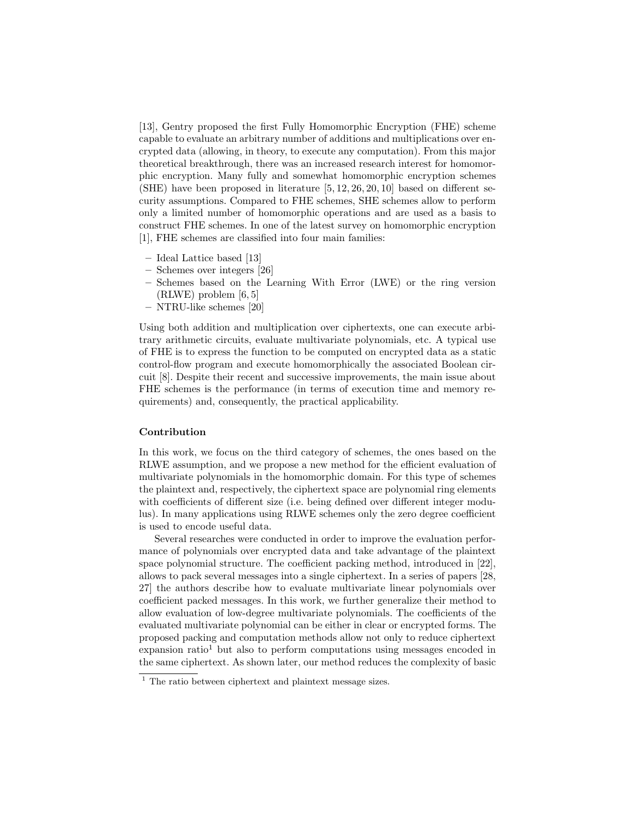[13], Gentry proposed the first Fully Homomorphic Encryption (FHE) scheme capable to evaluate an arbitrary number of additions and multiplications over encrypted data (allowing, in theory, to execute any computation). From this major theoretical breakthrough, there was an increased research interest for homomorphic encryption. Many fully and somewhat homomorphic encryption schemes (SHE) have been proposed in literature [5, 12, 26, 20, 10] based on different security assumptions. Compared to FHE schemes, SHE schemes allow to perform only a limited number of homomorphic operations and are used as a basis to construct FHE schemes. In one of the latest survey on homomorphic encryption [1], FHE schemes are classified into four main families:

- Ideal Lattice based [13]
- Schemes over integers [26]
- Schemes based on the Learning With Error (LWE) or the ring version (RLWE) problem [6, 5]
- NTRU-like schemes [20]

Using both addition and multiplication over ciphertexts, one can execute arbitrary arithmetic circuits, evaluate multivariate polynomials, etc. A typical use of FHE is to express the function to be computed on encrypted data as a static control-flow program and execute homomorphically the associated Boolean circuit [8]. Despite their recent and successive improvements, the main issue about FHE schemes is the performance (in terms of execution time and memory requirements) and, consequently, the practical applicability.

#### Contribution

In this work, we focus on the third category of schemes, the ones based on the RLWE assumption, and we propose a new method for the efficient evaluation of multivariate polynomials in the homomorphic domain. For this type of schemes the plaintext and, respectively, the ciphertext space are polynomial ring elements with coefficients of different size (i.e. being defined over different integer modulus). In many applications using RLWE schemes only the zero degree coefficient is used to encode useful data.

Several researches were conducted in order to improve the evaluation performance of polynomials over encrypted data and take advantage of the plaintext space polynomial structure. The coefficient packing method, introduced in [22], allows to pack several messages into a single ciphertext. In a series of papers [28, 27] the authors describe how to evaluate multivariate linear polynomials over coefficient packed messages. In this work, we further generalize their method to allow evaluation of low-degree multivariate polynomials. The coefficients of the evaluated multivariate polynomial can be either in clear or encrypted forms. The proposed packing and computation methods allow not only to reduce ciphertext  $\alpha$  expansion ratio<sup>1</sup> but also to perform computations using messages encoded in the same ciphertext. As shown later, our method reduces the complexity of basic

<sup>&</sup>lt;sup>1</sup> The ratio between ciphertext and plaintext message sizes.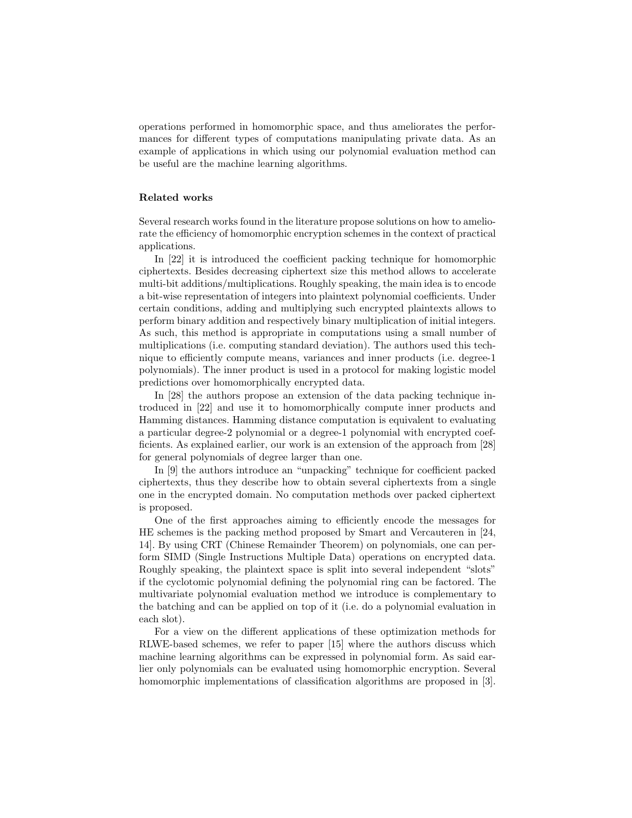operations performed in homomorphic space, and thus ameliorates the performances for different types of computations manipulating private data. As an example of applications in which using our polynomial evaluation method can be useful are the machine learning algorithms.

#### Related works

Several research works found in the literature propose solutions on how to ameliorate the efficiency of homomorphic encryption schemes in the context of practical applications.

In [22] it is introduced the coefficient packing technique for homomorphic ciphertexts. Besides decreasing ciphertext size this method allows to accelerate multi-bit additions/multiplications. Roughly speaking, the main idea is to encode a bit-wise representation of integers into plaintext polynomial coefficients. Under certain conditions, adding and multiplying such encrypted plaintexts allows to perform binary addition and respectively binary multiplication of initial integers. As such, this method is appropriate in computations using a small number of multiplications (i.e. computing standard deviation). The authors used this technique to efficiently compute means, variances and inner products (i.e. degree-1 polynomials). The inner product is used in a protocol for making logistic model predictions over homomorphically encrypted data.

In [28] the authors propose an extension of the data packing technique introduced in [22] and use it to homomorphically compute inner products and Hamming distances. Hamming distance computation is equivalent to evaluating a particular degree-2 polynomial or a degree-1 polynomial with encrypted coefficients. As explained earlier, our work is an extension of the approach from [28] for general polynomials of degree larger than one.

In [9] the authors introduce an "unpacking" technique for coefficient packed ciphertexts, thus they describe how to obtain several ciphertexts from a single one in the encrypted domain. No computation methods over packed ciphertext is proposed.

One of the first approaches aiming to efficiently encode the messages for HE schemes is the packing method proposed by Smart and Vercauteren in [24, 14]. By using CRT (Chinese Remainder Theorem) on polynomials, one can perform SIMD (Single Instructions Multiple Data) operations on encrypted data. Roughly speaking, the plaintext space is split into several independent "slots" if the cyclotomic polynomial defining the polynomial ring can be factored. The multivariate polynomial evaluation method we introduce is complementary to the batching and can be applied on top of it (i.e. do a polynomial evaluation in each slot).

For a view on the different applications of these optimization methods for RLWE-based schemes, we refer to paper [15] where the authors discuss which machine learning algorithms can be expressed in polynomial form. As said earlier only polynomials can be evaluated using homomorphic encryption. Several homomorphic implementations of classification algorithms are proposed in [3].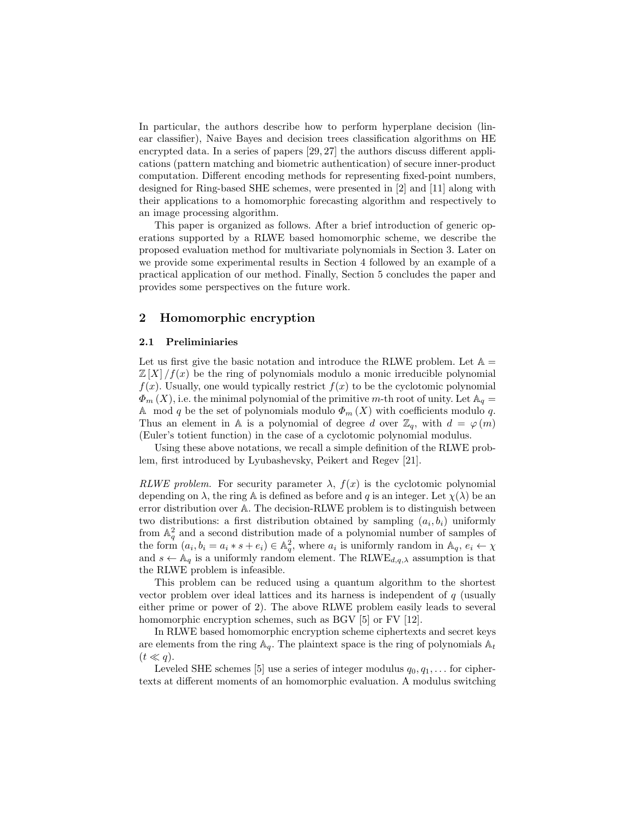In particular, the authors describe how to perform hyperplane decision (linear classifier), Naive Bayes and decision trees classification algorithms on HE encrypted data. In a series of papers [29, 27] the authors discuss different applications (pattern matching and biometric authentication) of secure inner-product computation. Different encoding methods for representing fixed-point numbers, designed for Ring-based SHE schemes, were presented in [2] and [11] along with their applications to a homomorphic forecasting algorithm and respectively to an image processing algorithm.

This paper is organized as follows. After a brief introduction of generic operations supported by a RLWE based homomorphic scheme, we describe the proposed evaluation method for multivariate polynomials in Section 3. Later on we provide some experimental results in Section 4 followed by an example of a practical application of our method. Finally, Section 5 concludes the paper and provides some perspectives on the future work.

## 2 Homomorphic encryption

#### 2.1 Preliminiaries

Let us first give the basic notation and introduce the RLWE problem. Let  $\mathbb{A} =$  $\mathbb{Z}[X]/f(x)$  be the ring of polynomials modulo a monic irreducible polynomial  $f(x)$ . Usually, one would typically restrict  $f(x)$  to be the cyclotomic polynomial  $\Phi_m(X)$ , i.e. the minimal polynomial of the primitive m-th root of unity. Let  $\mathbb{A}_q =$ A mod q be the set of polynomials modulo  $\Phi_m(X)$  with coefficients modulo q. Thus an element in A is a polynomial of degree d over  $\mathbb{Z}_q$ , with  $d = \varphi(m)$ (Euler's totient function) in the case of a cyclotomic polynomial modulus.

Using these above notations, we recall a simple definition of the RLWE problem, first introduced by Lyubashevsky, Peikert and Regev [21].

RLWE problem. For security parameter  $\lambda$ ,  $f(x)$  is the cyclotomic polynomial depending on  $\lambda$ , the ring A is defined as before and q is an integer. Let  $\chi(\lambda)$  be an error distribution over A. The decision-RLWE problem is to distinguish between two distributions: a first distribution obtained by sampling  $(a_i, b_i)$  uniformly from  $\mathbb{A}_q^2$  and a second distribution made of a polynomial number of samples of the form  $(a_i, b_i = a_i * s + e_i) \in \mathbb{A}_q^2$ , where  $a_i$  is uniformly random in  $\mathbb{A}_q, e_i \leftarrow \chi$ and  $s \leftarrow \mathbb{A}_q$  is a uniformly random element. The RLWE<sub>d,q, $\lambda$ </sub> assumption is that the RLWE problem is infeasible.

This problem can be reduced using a quantum algorithm to the shortest vector problem over ideal lattices and its harness is independent of  $q$  (usually either prime or power of 2). The above RLWE problem easily leads to several homomorphic encryption schemes, such as BGV [5] or FV [12].

In RLWE based homomorphic encryption scheme ciphertexts and secret keys are elements from the ring  $\mathbb{A}_q$ . The plaintext space is the ring of polynomials  $\mathbb{A}_t$  $(t \ll q).$ 

Leveled SHE schemes [5] use a series of integer modulus  $q_0, q_1, \ldots$  for ciphertexts at different moments of an homomorphic evaluation. A modulus switching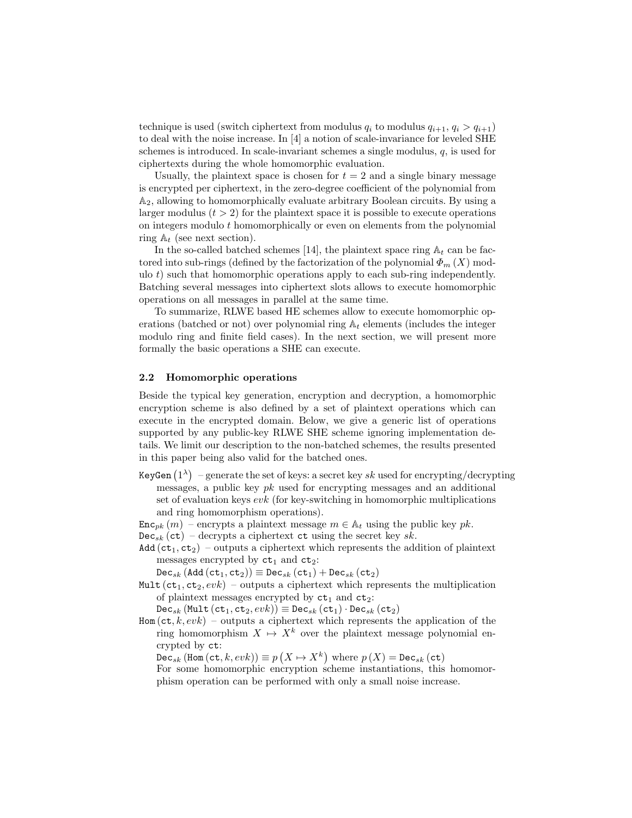technique is used (switch ciphertext from modulus  $q_i$  to modulus  $q_{i+1}, q_i > q_{i+1}$ ) to deal with the noise increase. In [4] a notion of scale-invariance for leveled SHE schemes is introduced. In scale-invariant schemes a single modulus,  $q$ , is used for ciphertexts during the whole homomorphic evaluation.

Usually, the plaintext space is chosen for  $t = 2$  and a single binary message is encrypted per ciphertext, in the zero-degree coefficient of the polynomial from  $\mathbb{A}_2$ , allowing to homomorphically evaluate arbitrary Boolean circuits. By using a larger modulus  $(t > 2)$  for the plaintext space it is possible to execute operations on integers modulo  $t$  homomorphically or even on elements from the polynomial ring  $A_t$  (see next section).

In the so-called batched schemes [14], the plaintext space ring  $A_t$  can be factored into sub-rings (defined by the factorization of the polynomial  $\Phi_m(X)$  modulo  $t$ ) such that homomorphic operations apply to each sub-ring independently. Batching several messages into ciphertext slots allows to execute homomorphic operations on all messages in parallel at the same time.

To summarize, RLWE based HE schemes allow to execute homomorphic operations (batched or not) over polynomial ring  $A_t$  elements (includes the integer modulo ring and finite field cases). In the next section, we will present more formally the basic operations a SHE can execute.

#### 2.2 Homomorphic operations

Beside the typical key generation, encryption and decryption, a homomorphic encryption scheme is also defined by a set of plaintext operations which can execute in the encrypted domain. Below, we give a generic list of operations supported by any public-key RLWE SHE scheme ignoring implementation details. We limit our description to the non-batched schemes, the results presented in this paper being also valid for the batched ones.

- KeyGen  $(1^{\lambda})$  generate the set of keys: a secret key sk used for encrypting/decrypting messages, a public key  $pk$  used for encrypting messages and an additional set of evaluation keys  $evk$  (for key-switching in homomorphic multiplications and ring homomorphism operations).
- $\text{Enc}_{pk}(m)$  encrypts a plaintext message  $m \in A_t$  using the public key pk.
- $Dec_{sk}(ct)$  decrypts a ciphertext ct using the secret key sk.
- Add  $(ct_1, ct_2)$  outputs a ciphertext which represents the addition of plaintext messages encrypted by  $ct_1$  and  $ct_2$ :

 $\texttt{Dec}_{sk}(\texttt{Add}(\texttt{ct}_1, \texttt{ct}_2)) \equiv \texttt{Dec}_{sk}(\texttt{ct}_1) + \texttt{Dec}_{sk}(\texttt{ct}_2)$ 

Mult  $(ct_1, ct_2, evk)$  – outputs a ciphertext which represents the multiplication of plaintext messages encrypted by  $ct_1$  and  $ct_2$ :

 $\texttt{Dec}_{sk}(\texttt{Mult}(\texttt{ct}_1, \texttt{ct}_2, evk)) \equiv \texttt{Dec}_{sk}(\texttt{ct}_1) \cdot \texttt{Dec}_{sk}(\texttt{ct}_2)$ 

Hom  $(ct, k, evk)$  – outputs a ciphertext which represents the application of the ring homomorphism  $X \mapsto X^k$  over the plaintext message polynomial encrypted by ct:

 $\texttt{Dec}_{sk}(\texttt{Hom}(\texttt{ct},k,\textit{evk})) \equiv p\left(X \mapsto X^{k}\right) \text{ where } p\left(X\right) = \texttt{Dec}_{sk}\left(\texttt{ct}\right)$ 

For some homomorphic encryption scheme instantiations, this homomorphism operation can be performed with only a small noise increase.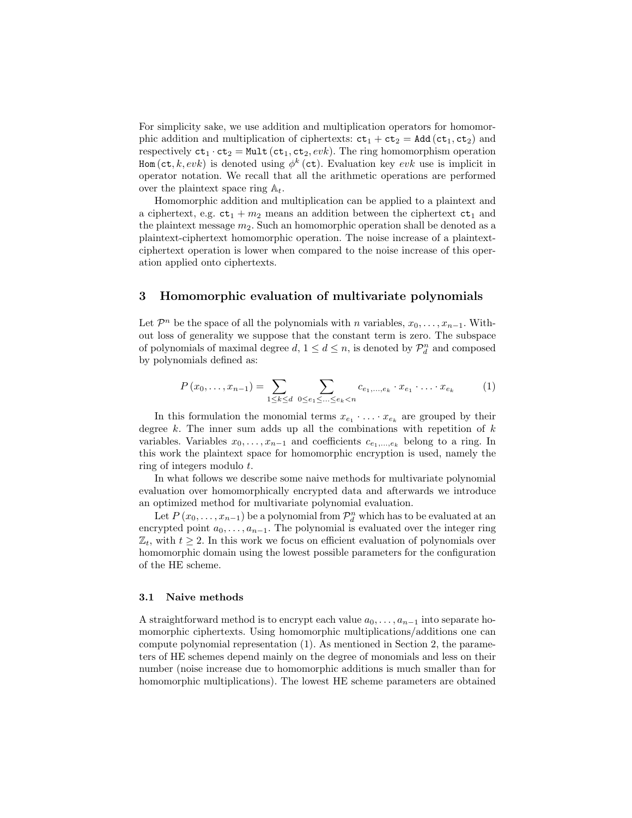For simplicity sake, we use addition and multiplication operators for homomorphic addition and multiplication of ciphertexts:  $ct_1 + ct_2 = \text{Add}(ct_1, ct_2)$  and respectively  $ct_1 \cdot ct_2 = \text{Mult}(ct_1, ct_2, evk)$ . The ring homomorphism operation Hom (ct, k, evk) is denoted using  $\phi^k$  (ct). Evaluation key evk use is implicit in operator notation. We recall that all the arithmetic operations are performed over the plaintext space ring  $A_t$ .

Homomorphic addition and multiplication can be applied to a plaintext and a ciphertext, e.g.  $ct_1 + m_2$  means an addition between the ciphertext  $ct_1$  and the plaintext message  $m_2$ . Such an homomorphic operation shall be denoted as a plaintext-ciphertext homomorphic operation. The noise increase of a plaintextciphertext operation is lower when compared to the noise increase of this operation applied onto ciphertexts.

## 3 Homomorphic evaluation of multivariate polynomials

Let  $\mathcal{P}^n$  be the space of all the polynomials with n variables,  $x_0, \ldots, x_{n-1}$ . Without loss of generality we suppose that the constant term is zero. The subspace of polynomials of maximal degree  $d, 1 \leq d \leq n$ , is denoted by  $\mathcal{P}_d^n$  and composed by polynomials defined as:

$$
P(x_0, \ldots, x_{n-1}) = \sum_{1 \le k \le d} \sum_{0 \le e_1 \le \ldots \le e_k < n} c_{e_1, \ldots, e_k} \cdot x_{e_1} \cdot \ldots \cdot x_{e_k} \tag{1}
$$

In this formulation the monomial terms  $x_{e_1} \cdot \ldots \cdot x_{e_k}$  are grouped by their degree k. The inner sum adds up all the combinations with repetition of  $k$ variables. Variables  $x_0, \ldots, x_{n-1}$  and coefficients  $c_{e_1,\ldots,e_k}$  belong to a ring. In this work the plaintext space for homomorphic encryption is used, namely the ring of integers modulo t.

In what follows we describe some naive methods for multivariate polynomial evaluation over homomorphically encrypted data and afterwards we introduce an optimized method for multivariate polynomial evaluation.

Let  $P(x_0, \ldots, x_{n-1})$  be a polynomial from  $\mathcal{P}_d^n$  which has to be evaluated at an encrypted point  $a_0, \ldots, a_{n-1}$ . The polynomial is evaluated over the integer ring  $\mathbb{Z}_t$ , with  $t \geq 2$ . In this work we focus on efficient evaluation of polynomials over homomorphic domain using the lowest possible parameters for the configuration of the HE scheme.

#### 3.1 Naive methods

A straightforward method is to encrypt each value  $a_0, \ldots, a_{n-1}$  into separate homomorphic ciphertexts. Using homomorphic multiplications/additions one can compute polynomial representation (1). As mentioned in Section 2, the parameters of HE schemes depend mainly on the degree of monomials and less on their number (noise increase due to homomorphic additions is much smaller than for homomorphic multiplications). The lowest HE scheme parameters are obtained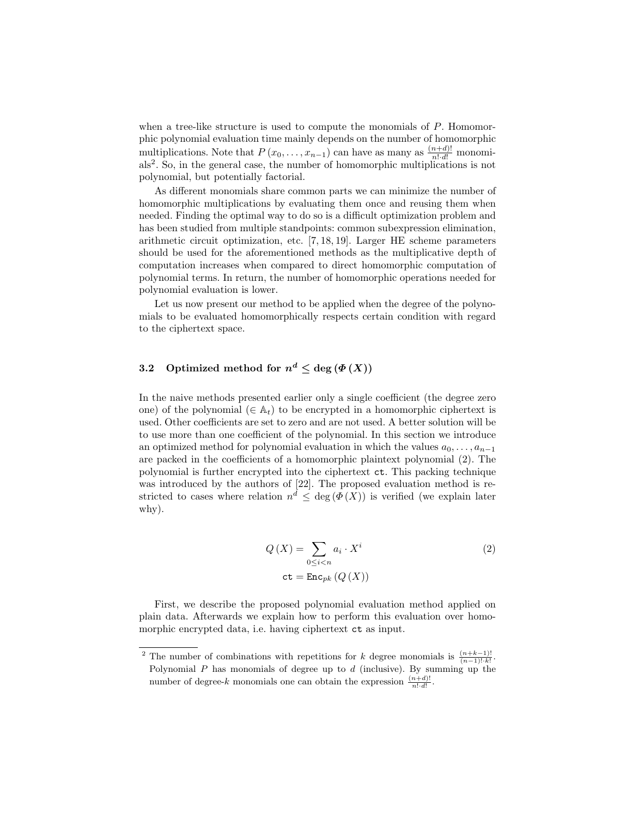when a tree-like structure is used to compute the monomials of  $P$ . Homomorphic polynomial evaluation time mainly depends on the number of homomorphic multiplications. Note that  $P(x_0, \ldots, x_{n-1})$  can have as many as  $\frac{(n+d)!}{n! \cdot d!}$  monomials<sup>2</sup>. So, in the general case, the number of homomorphic multiplications is not polynomial, but potentially factorial.

As different monomials share common parts we can minimize the number of homomorphic multiplications by evaluating them once and reusing them when needed. Finding the optimal way to do so is a difficult optimization problem and has been studied from multiple standpoints: common subexpression elimination, arithmetic circuit optimization, etc. [7, 18, 19]. Larger HE scheme parameters should be used for the aforementioned methods as the multiplicative depth of computation increases when compared to direct homomorphic computation of polynomial terms. In return, the number of homomorphic operations needed for polynomial evaluation is lower.

Let us now present our method to be applied when the degree of the polynomials to be evaluated homomorphically respects certain condition with regard to the ciphertext space.

## 3.2 Optimized method for  $n^d \leq$  deg  $(\Phi(X))$

In the naive methods presented earlier only a single coefficient (the degree zero one) of the polynomial  $(\in A_t)$  to be encrypted in a homomorphic ciphertext is used. Other coefficients are set to zero and are not used. A better solution will be to use more than one coefficient of the polynomial. In this section we introduce an optimized method for polynomial evaluation in which the values  $a_0, \ldots, a_{n-1}$ are packed in the coefficients of a homomorphic plaintext polynomial (2). The polynomial is further encrypted into the ciphertext ct. This packing technique was introduced by the authors of [22]. The proposed evaluation method is restricted to cases where relation  $n^d \leq \deg(\Phi(X))$  is verified (we explain later why).

$$
Q(X) = \sum_{0 \le i < n} a_i \cdot X^i \tag{2}
$$
\n
$$
ct = \text{Enc}_{pk}(Q(X))
$$

First, we describe the proposed polynomial evaluation method applied on plain data. Afterwards we explain how to perform this evaluation over homomorphic encrypted data, i.e. having ciphertext ct as input.

<sup>&</sup>lt;sup>2</sup> The number of combinations with repetitions for k degree monomials is  $\frac{(n+k-1)!}{(n-1)!\cdot k!}$ . Polynomial  $P$  has monomials of degree up to  $d$  (inclusive). By summing up the number of degree-k monomials one can obtain the expression  $\frac{(n+d)!}{n! \cdot d!}$ .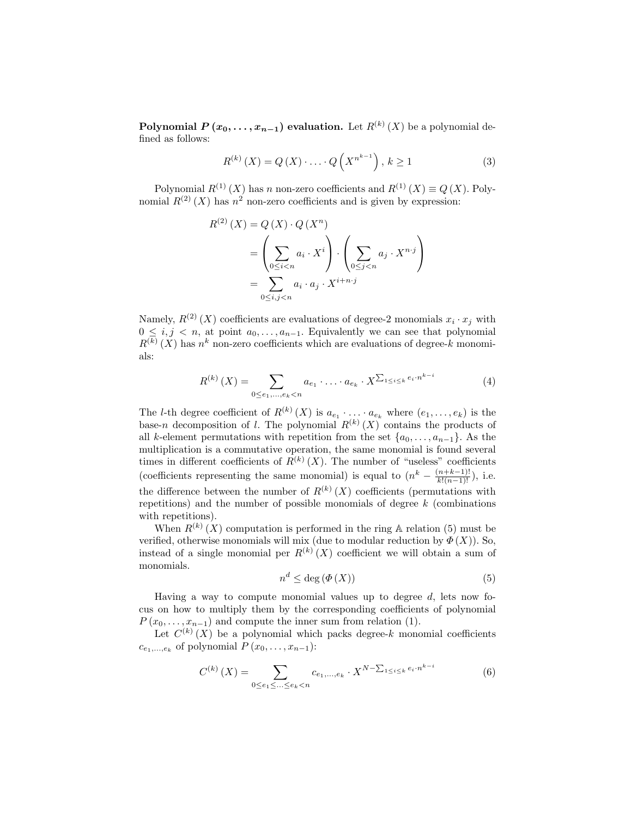**Polynomial**  $P(x_0, \ldots, x_{n-1})$  **evaluation.** Let  $R^{(k)}(X)$  be a polynomial defined as follows:

$$
R^{(k)}(X) = Q(X) \cdot \ldots \cdot Q\left(X^{n^{k-1}}\right), k \ge 1
$$
 (3)

Polynomial  $R^{(1)}(X)$  has n non-zero coefficients and  $R^{(1)}(X) \equiv Q(X)$ . Polynomial  $R^{(2)}(X)$  has  $n^2$  non-zero coefficients and is given by expression:

$$
R^{(2)}(X) = Q(X) \cdot Q(X^n)
$$
  
= 
$$
\left(\sum_{0 \le i < n} a_i \cdot X^i\right) \cdot \left(\sum_{0 \le j < n} a_j \cdot X^{n \cdot j}\right)
$$
  
= 
$$
\sum_{0 \le i,j < n} a_i \cdot a_j \cdot X^{i+n \cdot j}
$$

Namely,  $R^{(2)}(X)$  coefficients are evaluations of degree-2 monomials  $x_i \cdot x_j$  with  $0 \leq i, j \leq n$ , at point  $a_0, \ldots, a_{n-1}$ . Equivalently we can see that polynomial  $R^{(k)}(X)$  has  $n^k$  non-zero coefficients which are evaluations of degree-k monomials:

$$
R^{(k)}(X) = \sum_{0 \le e_1, \dots, e_k < n} a_{e_1} \cdot \dots \cdot a_{e_k} \cdot X^{\sum_{1 \le i \le k} e_i \cdot n^{k-i}} \tag{4}
$$

The *l*-th degree coefficient of  $R^{(k)}(X)$  is  $a_{e_1} \cdot \ldots \cdot a_{e_k}$  where  $(e_1, \ldots, e_k)$  is the base-n decomposition of l. The polynomial  $R^{(k)}(X)$  contains the products of all k-element permutations with repetition from the set  $\{a_0, \ldots, a_{n-1}\}$ . As the multiplication is a commutative operation, the same monomial is found several times in different coefficients of  $R^{(k)}(X)$ . The number of "useless" coefficients (coefficients representing the same monomial) is equal to  $(n^k - \frac{(n+k-1)!}{k!(n-1)!})$ , i.e. the difference between the number of  $R^{(k)}(X)$  coefficients (permutations with repetitions) and the number of possible monomials of degree  $k$  (combinations) with repetitions).

When  $R^{(k)}(X)$  computation is performed in the ring A relation (5) must be verified, otherwise monomials will mix (due to modular reduction by  $\Phi(X)$ ). So, instead of a single monomial per  $R^{(k)}(X)$  coefficient we will obtain a sum of monomials.

$$
n^d \le \deg\left(\Phi\left(X\right)\right) \tag{5}
$$

Having a way to compute monomial values up to degree  $d$ , lets now focus on how to multiply them by the corresponding coefficients of polynomial  $P(x_0, \ldots, x_{n-1})$  and compute the inner sum from relation (1).

Let  $C^{(k)}(X)$  be a polynomial which packs degree-k monomial coefficients  $c_{e_1,\ldots,e_k}$  of polynomial  $P(x_0,\ldots,x_{n-1})$ :

$$
C^{(k)}\left(X\right) = \sum_{0 \le e_1 \le \dots \le e_k < n} c_{e_1, \dots, e_k} \cdot X^{N - \sum_{1 \le i \le k} e_i \cdot n^{k - i}} \tag{6}
$$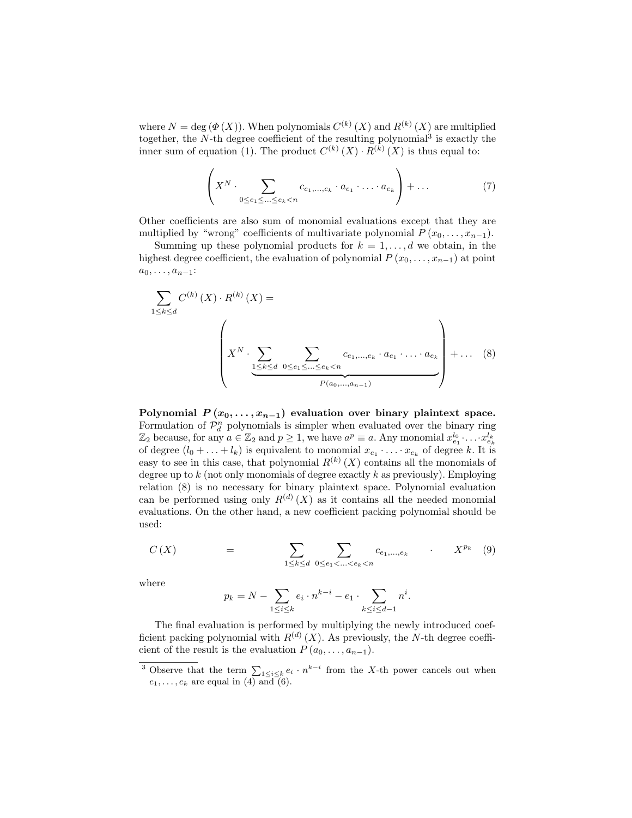where  $N = \text{deg}(\Phi(X))$ . When polynomials  $C^{(k)}(X)$  and  $R^{(k)}(X)$  are multiplied together, the  $N$ -th degree coefficient of the resulting polynomial<sup>3</sup> is exactly the inner sum of equation (1). The product  $C^{(k)}(X) \cdot R^{(k)}(X)$  is thus equal to:

$$
\left(X^N \cdot \sum_{0 \le e_1 \le \ldots \le e_k < n} c_{e_1, \ldots, e_k} \cdot a_{e_1} \cdot \ldots \cdot a_{e_k}\right) + \ldots \tag{7}
$$

Other coefficients are also sum of monomial evaluations except that they are multiplied by "wrong" coefficients of multivariate polynomial  $P(x_0, \ldots, x_{n-1})$ .

Summing up these polynomial products for  $k = 1, \ldots, d$  we obtain, in the highest degree coefficient, the evaluation of polynomial  $P(x_0, \ldots, x_{n-1})$  at point  $a_0, \ldots, a_{n-1}$ :

$$
\sum_{1 \le k \le d} C^{(k)}(X) \cdot R^{(k)}(X) = \left(\frac{1}{2^{k} \sum_{1 \le k \le d} \sum_{0 \le e_1 \le \ldots \le e_k < n} c_{e_1, \ldots, e_k} \cdot a_{e_1} \cdot \ldots \cdot a_{e_k}}}{P(a_0, \ldots, a_{n-1})}\right) + \ldots \quad (8)
$$

Polynomial  $P(x_0, \ldots, x_{n-1})$  evaluation over binary plaintext space. Formulation of  $\mathcal{P}_d^n$  polynomials is simpler when evaluated over the binary ring  $\mathbb{Z}_2$  because, for any  $a \in \mathbb{Z}_2$  and  $p \ge 1$ , we have  $a^p \equiv a$ . Any monomial  $x_{e_1}^{l_0} \cdot \ldots \cdot x_{e_k}^{l_k}$  of degree  $(l_0 + \ldots + l_k)$  is equivalent to monomial  $x_{e_1} \cdot \ldots \cdot x_{e_k}$  of degree  $k$ . It is easy to see in this case, that polynomial  $R^{(k)}(X)$  contains all the monomials of degree up to k (not only monomials of degree exactly k as previously). Employing relation (8) is no necessary for binary plaintext space. Polynomial evaluation can be performed using only  $R^{(d)}(X)$  as it contains all the needed monomial evaluations. On the other hand, a new coefficient packing polynomial should be used:

$$
C(X) = \sum_{1 \leq k \leq d} \sum_{0 \leq e_1 < \ldots < e_k < n} c_{e_1, \ldots, e_k} \qquad X^{p_k} \tag{9}
$$

where

$$
p_k = N - \sum_{1 \le i \le k} e_i \cdot n^{k-i} - e_1 \cdot \sum_{k \le i \le d-1} n^i.
$$

The final evaluation is performed by multiplying the newly introduced coefficient packing polynomial with  $R^{(d)}(X)$ . As previously, the N-th degree coefficient of the result is the evaluation  $P(a_0, \ldots, a_{n-1})$ .

<sup>&</sup>lt;sup>3</sup> Observe that the term  $\sum_{1 \leq i \leq k} e_i \cdot n^{k-i}$  from the X-th power cancels out when  $e_1, \ldots, e_k$  are equal in (4) and (6).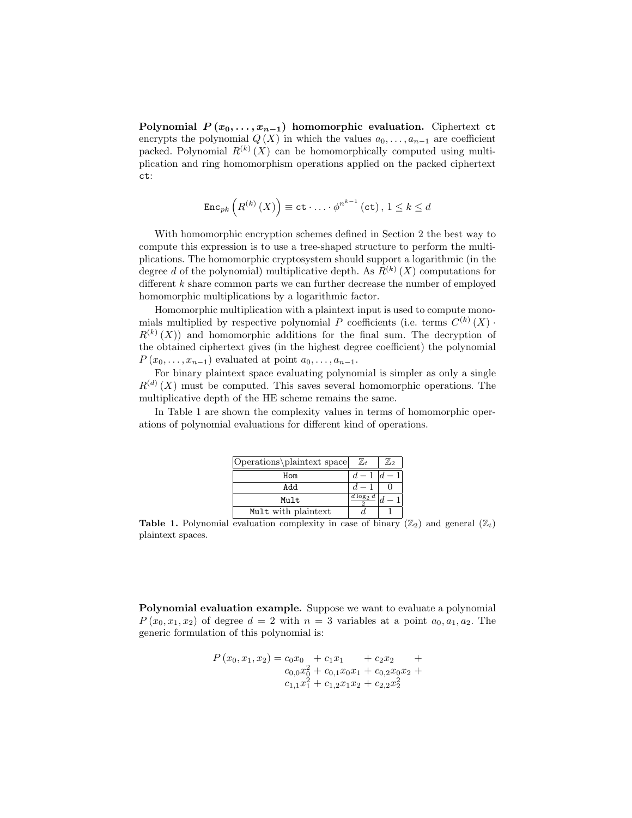Polynomial  $P(x_0, \ldots, x_{n-1})$  homomorphic evaluation. Ciphertext ct encrypts the polynomial  $Q(X)$  in which the values  $a_0, \ldots, a_{n-1}$  are coefficient packed. Polynomial  $R^{(k)}(X)$  can be homomorphically computed using multiplication and ring homomorphism operations applied on the packed ciphertext ct:

$$
\mathtt{Enc}_{pk}\left(R^{(k)}\left(X\right)\right) \equiv \mathtt{ct} \cdot \ldots \cdot \phi^{n^{k-1}}\left(\mathtt{ct}\right), 1 \leq k \leq d
$$

With homomorphic encryption schemes defined in Section 2 the best way to compute this expression is to use a tree-shaped structure to perform the multiplications. The homomorphic cryptosystem should support a logarithmic (in the degree d of the polynomial) multiplicative depth. As  $R^{(k)}(X)$  computations for different  $k$  share common parts we can further decrease the number of employed homomorphic multiplications by a logarithmic factor.

Homomorphic multiplication with a plaintext input is used to compute monomials multiplied by respective polynomial P coefficients (i.e. terms  $C^{(k)}(X)$ .  $R^{(k)}(X)$  and homomorphic additions for the final sum. The decryption of the obtained ciphertext gives (in the highest degree coefficient) the polynomial  $P(x_0, \ldots, x_{n-1})$  evaluated at point  $a_0, \ldots, a_{n-1}$ .

For binary plaintext space evaluating polynomial is simpler as only a single  $R^{(d)}(X)$  must be computed. This saves several homomorphic operations. The multiplicative depth of the HE scheme remains the same.

In Table 1 are shown the complexity values in terms of homomorphic operations of polynomial evaluations for different kind of operations.

| Operations\plaintext space | 'Zrt         | $\mathbb{Z}_2$ |
|----------------------------|--------------|----------------|
| Hom                        |              |                |
| hhA                        |              |                |
| Min1t                      | $d \log_2 d$ |                |
| Mult with plaintext        |              |                |

**Table 1.** Polynomial evaluation complexity in case of binary  $(\mathbb{Z}_2)$  and general  $(\mathbb{Z}_t)$ plaintext spaces.

Polynomial evaluation example. Suppose we want to evaluate a polynomial  $P(x_0, x_1, x_2)$  of degree  $d = 2$  with  $n = 3$  variables at a point  $a_0, a_1, a_2$ . The generic formulation of this polynomial is:

$$
P(x_0, x_1, x_2) = c_0 x_0 + c_1 x_1 + c_2 x_2 + c_{0,0} x_0^2 + c_{0,1} x_0 x_1 + c_{0,2} x_0 x_2 + c_{1,1} x_1^2 + c_{1,2} x_1 x_2 + c_{2,2} x_2^2
$$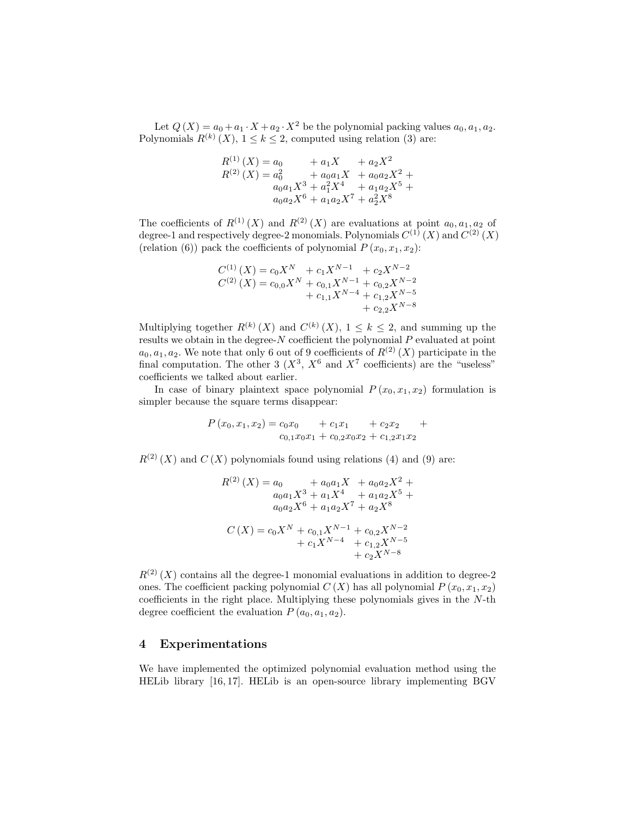Let  $Q(X) = a_0 + a_1 \cdot X + a_2 \cdot X^2$  be the polynomial packing values  $a_0, a_1, a_2$ . Polynomials  $R^{(k)}(X), 1 \leq k \leq 2$ , computed using relation (3) are:

$$
R^{(1)}(X) = a_0 + a_1 X + a_2 X^2
$$
  
\n
$$
R^{(2)}(X) = a_0^2 + a_0 a_1 X + a_0 a_2 X^2 + a_0 a_1 X^3 + a_1^2 X^4 + a_1 a_2 X^5 + a_0 a_2 X^6 + a_1 a_2 X^7 + a_2^2 X^8
$$

The coefficients of  $R^{(1)}(X)$  and  $R^{(2)}(X)$  are evaluations at point  $a_0, a_1, a_2$  of degree-1 and respectively degree-2 monomials. Polynomials  $C^{(1)}(X)$  and  $C^{(2)}(X)$ (relation (6)) pack the coefficients of polynomial  $P(x_0, x_1, x_2)$ :

$$
C^{(1)}(X) = c_0 X^N + c_1 X^{N-1} + c_2 X^{N-2}
$$
  
\n
$$
C^{(2)}(X) = c_{0,0} X^N + c_{0,1} X^{N-1} + c_{0,2} X^{N-2}
$$
  
\n
$$
+ c_{1,1} X^{N-4} + c_{1,2} X^{N-5}
$$
  
\n
$$
+ c_{2,2} X^{N-8}
$$

Multiplying together  $R^{(k)}(X)$  and  $C^{(k)}(X)$ ,  $1 \leq k \leq 2$ , and summing up the results we obtain in the degree- $N$  coefficient the polynomial  $P$  evaluated at point  $a_0, a_1, a_2$ . We note that only 6 out of 9 coefficients of  $R^{(2)}(X)$  participate in the final computation. The other 3  $(X^3, X^6$  and  $X^7$  coefficients) are the "useless" coefficients we talked about earlier.

In case of binary plaintext space polynomial  $P(x_0, x_1, x_2)$  formulation is simpler because the square terms disappear:

$$
P(x_0, x_1, x_2) = c_0 x_0 + c_1 x_1 + c_2 x_2 +c_{0,1} x_0 x_1 + c_{0,2} x_0 x_2 + c_{1,2} x_1 x_2
$$

 $R^{(2)}(X)$  and  $C(X)$  polynomials found using relations (4) and (9) are:

$$
R^{(2)}(X) = a_0 + a_0 a_1 X + a_0 a_2 X^2 + a_0 a_1 X^3 + a_1 X^4 + a_1 a_2 X^5 + a_0 a_2 X^6 + a_1 a_2 X^7 + a_2 X^8
$$
  

$$
C(X) = c_0 X^N + c_{0,1} X^{N-1} + c_{0,2} X^{N-2} + c_1 X^{N-4} + c_{1,2} X^{N-5} + c_2 X^{N-8}
$$

 $R^{(2)}(X)$  contains all the degree-1 monomial evaluations in addition to degree-2 ones. The coefficient packing polynomial  $C(X)$  has all polynomial  $P(x_0, x_1, x_2)$ coefficients in the right place. Multiplying these polynomials gives in the N-th degree coefficient the evaluation  $P(a_0, a_1, a_2)$ .

## 4 Experimentations

We have implemented the optimized polynomial evaluation method using the HELib library [16, 17]. HELib is an open-source library implementing BGV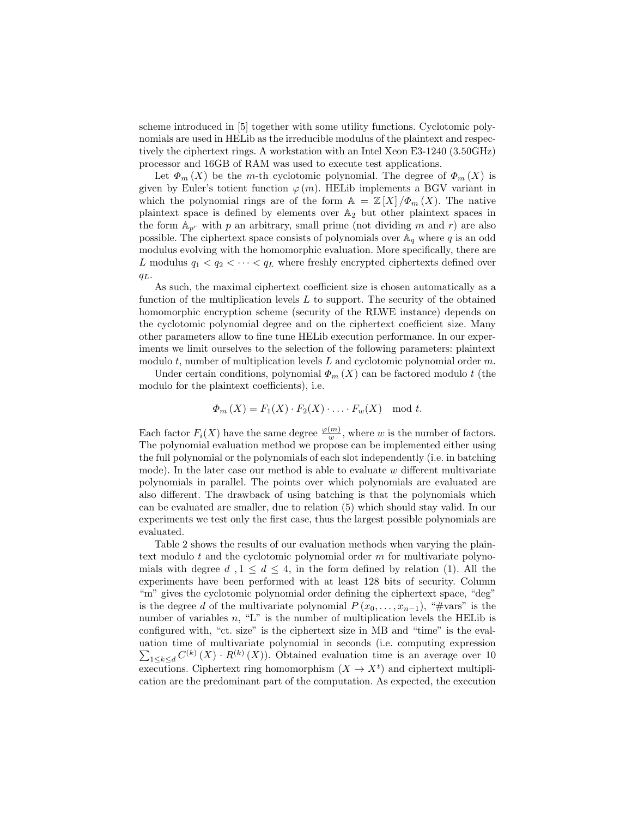scheme introduced in [5] together with some utility functions. Cyclotomic polynomials are used in HELib as the irreducible modulus of the plaintext and respectively the ciphertext rings. A workstation with an Intel Xeon E3-1240 (3.50GHz) processor and 16GB of RAM was used to execute test applications.

Let  $\Phi_m(X)$  be the m-th cyclotomic polynomial. The degree of  $\Phi_m(X)$  is given by Euler's totient function  $\varphi(m)$ . HELib implements a BGV variant in which the polynomial rings are of the form  $A = \mathbb{Z}[X]/\Phi_m(X)$ . The native plaintext space is defined by elements over A<sup>2</sup> but other plaintext spaces in the form  $A_{p^r}$  with p an arbitrary, small prime (not dividing m and r) are also possible. The ciphertext space consists of polynomials over  $\mathbb{A}_q$  where q is an odd modulus evolving with the homomorphic evaluation. More specifically, there are L modulus  $q_1 < q_2 < \cdots < q_L$  where freshly encrypted ciphertexts defined over qL.

As such, the maximal ciphertext coefficient size is chosen automatically as a function of the multiplication levels  $L$  to support. The security of the obtained homomorphic encryption scheme (security of the RLWE instance) depends on the cyclotomic polynomial degree and on the ciphertext coefficient size. Many other parameters allow to fine tune HELib execution performance. In our experiments we limit ourselves to the selection of the following parameters: plaintext modulo t, number of multiplication levels  $L$  and cyclotomic polynomial order  $m$ .

Under certain conditions, polynomial  $\Phi_m(X)$  can be factored modulo t (the modulo for the plaintext coefficients), i.e.

$$
\Phi_m(X) = F_1(X) \cdot F_2(X) \cdot \ldots \cdot F_w(X) \mod t.
$$

Each factor  $F_i(X)$  have the same degree  $\frac{\varphi(m)}{w}$ , where w is the number of factors. The polynomial evaluation method we propose can be implemented either using the full polynomial or the polynomials of each slot independently (i.e. in batching mode). In the later case our method is able to evaluate  $w$  different multivariate polynomials in parallel. The points over which polynomials are evaluated are also different. The drawback of using batching is that the polynomials which can be evaluated are smaller, due to relation (5) which should stay valid. In our experiments we test only the first case, thus the largest possible polynomials are evaluated.

Table 2 shows the results of our evaluation methods when varying the plaintext modulo  $t$  and the cyclotomic polynomial order  $m$  for multivariate polynomials with degree d,  $1 \leq d \leq 4$ , in the form defined by relation (1). All the experiments have been performed with at least 128 bits of security. Column "m" gives the cyclotomic polynomial order defining the ciphertext space, "deg" is the degree d of the multivariate polynomial  $P(x_0, \ldots, x_{n-1})$ , "#vars" is the number of variables  $n$ , "L" is the number of multiplication levels the HELib is configured with, "ct. size" is the ciphertext size in MB and "time" is the evaluation time of multivariate polynomial in seconds (i.e. computing expression  $\sum_{1 \leq k \leq d} C^{(k)}(X) \cdot R^{(k)}(X)$ . Obtained evaluation time is an average over 10 executions. Ciphertext ring homomorphism  $(X \to X^t)$  and ciphertext multiplication are the predominant part of the computation. As expected, the execution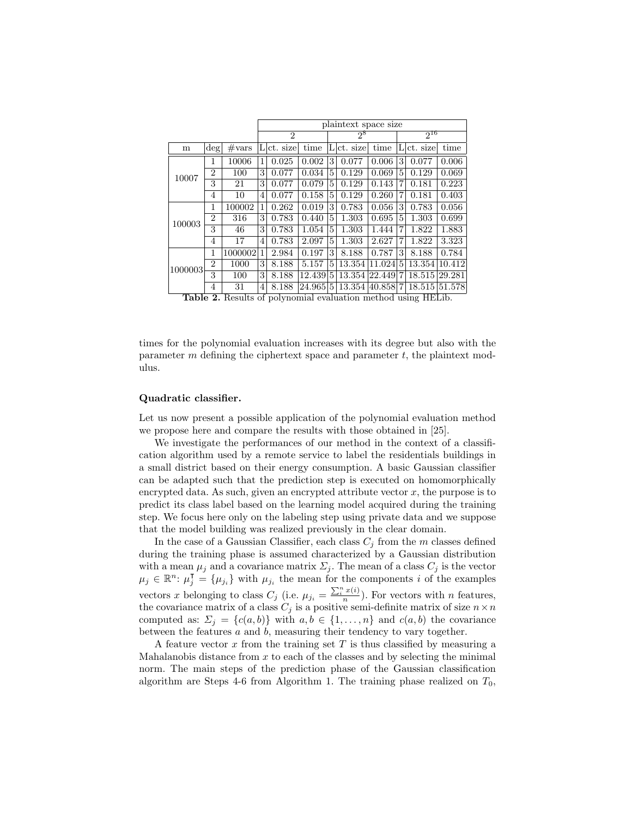|         |                |                 |                             |          |        | plaintext space size |          |          |   |               |        |  |
|---------|----------------|-----------------|-----------------------------|----------|--------|----------------------|----------|----------|---|---------------|--------|--|
|         |                |                 | $\mathcal{D}_{\mathcal{L}}$ |          | $2^8$  |                      |          | $2^{16}$ |   |               |        |  |
| m       | deg            | $\#\text{vars}$ | L                           | ct. size | time   | L                    | ct. size | time     | L | ct. size      | time   |  |
| 10007   | 1              | 10006           |                             | 0.025    | 0.002  | 3                    | 0.077    | 0.006    | 3 | 0.077         | 0.006  |  |
|         | 2              | 100             | 3                           | 0.077    | 0.034  | 5                    | 0.129    | 0.069    | 5 | 0.129         | 0.069  |  |
|         | 3              | 21              | 3                           | 0.077    | 0.079  | 5                    | 0.129    | 0.143    | 7 | 0.181         | 0.223  |  |
|         | 4              | 10              | 4                           | 0.077    | 0.158  | 5                    | 0.129    | 0.260    | 7 | 0.181         | 0.403  |  |
| 100003  | 1              | 100002          | 1                           | 0.262    | 0.019  | 3                    | 0.783    | 0.056    | 3 | 0.783         | 0.056  |  |
|         | $\overline{2}$ | 316             | 3                           | 0.783    | 0.440  | 5                    | 1.303    | 0.695    | 5 | 1.303         | 0.699  |  |
|         | 3              | 46              | 3                           | 0.783    | 1.054  | 5                    | 1.303    | 1.444    | 7 | 1.822         | 1.883  |  |
|         | 4              | 17              | 4                           | 0.783    | 2.097  | 5                    | 1.303    | 2.627    | 7 | 1.822         | 3.323  |  |
| 1000003 | 1              | 1000002         | 1                           | 2.984    | 0.197  | 3                    | 8.188    | 0.787    | 3 | 8.188         | 0.784  |  |
|         | $\overline{2}$ | 1000            | 3                           | 8.188    | 5.157  | 5                    | 13.354   | 11.024   | 5 | 13.354        | 10.412 |  |
|         | 3              | 100             | 3                           | 8.188    | 12.439 | 5                    | 13.354   | 22.449   | 7 | 18.515        | 29.281 |  |
|         | 4              | 31              | 4                           | 8.188    | 24.965 | 5                    | 13.354   | 40.858   | 7 | 18.515 51.578 |        |  |

Table 2. Results of polynomial evaluation method using HELib.

times for the polynomial evaluation increases with its degree but also with the parameter  $m$  defining the ciphertext space and parameter  $t$ , the plaintext modulus.

#### Quadratic classifier.

Let us now present a possible application of the polynomial evaluation method we propose here and compare the results with those obtained in [25].

We investigate the performances of our method in the context of a classification algorithm used by a remote service to label the residentials buildings in a small district based on their energy consumption. A basic Gaussian classifier can be adapted such that the prediction step is executed on homomorphically encrypted data. As such, given an encrypted attribute vector  $x$ , the purpose is to predict its class label based on the learning model acquired during the training step. We focus here only on the labeling step using private data and we suppose that the model building was realized previously in the clear domain.

In the case of a Gaussian Classifier, each class  $C_j$  from the m classes defined during the training phase is assumed characterized by a Gaussian distribution with a mean  $\mu_j$  and a covariance matrix  $\Sigma_j$ . The mean of a class  $C_j$  is the vector  $\mu_j \in \mathbb{R}^n$ :  $\mu_j^{\tau} = {\mu_{j_i}}$  with  $\mu_{j_i}$  the mean for the components i of the examples vectors x belonging to class  $C_j$  (i.e.  $\mu_{j_i} = \frac{\sum_i^n x(i)}{n}$ ). For vectors with n features, the covariance matrix of a class  $C_j$  is a positive semi-definite matrix of size  $n \times n$ computed as:  $\Sigma_i = \{c(a, b)\}\$  with  $a, b \in \{1, ..., n\}$  and  $c(a, b)$  the covariance between the features  $a$  and  $b$ , measuring their tendency to vary together.

A feature vector  $x$  from the training set  $T$  is thus classified by measuring a Mahalanobis distance from  $x$  to each of the classes and by selecting the minimal norm. The main steps of the prediction phase of the Gaussian classification algorithm are Steps 4-6 from Algorithm 1. The training phase realized on  $T_0$ ,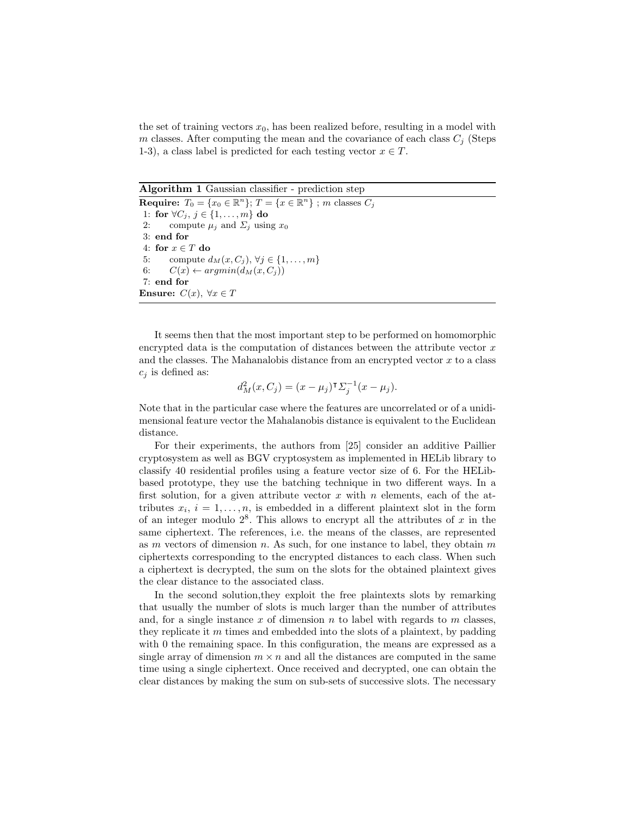the set of training vectors  $x_0$ , has been realized before, resulting in a model with m classes. After computing the mean and the covariance of each class  $C_i$  (Steps 1-3), a class label is predicted for each testing vector  $x \in T$ .

Algorithm 1 Gaussian classifier - prediction step

Require:  $T_0 = \{x_0 \in \mathbb{R}^n\}; T = \{x \in \mathbb{R}^n\}; m$  classes  $C_j$ 1: for  $\forall C_j, j \in \{1, \ldots, m\}$  do 2: compute  $\mu_j$  and  $\Sigma_j$  using  $x_0$ 3: end for 4: for  $x \in T$  do 5: compute  $d_M(x, C_j)$ ,  $\forall j \in \{1, \ldots, m\}$ 6:  $C(x) \leftarrow argmin(d_M(x, C_j))$ 7: end for Ensure:  $C(x)$ ,  $\forall x \in T$ 

It seems then that the most important step to be performed on homomorphic encrypted data is the computation of distances between the attribute vector  $x$ and the classes. The Mahanalobis distance from an encrypted vector  $x$  to a class  $c_i$  is defined as:

$$
d_M^2(x, C_j) = (x - \mu_j)^{\mathsf{T}} \Sigma_j^{-1} (x - \mu_j).
$$

Note that in the particular case where the features are uncorrelated or of a unidimensional feature vector the Mahalanobis distance is equivalent to the Euclidean distance.

For their experiments, the authors from [25] consider an additive Paillier cryptosystem as well as BGV cryptosystem as implemented in HELib library to classify 40 residential profiles using a feature vector size of 6. For the HELibbased prototype, they use the batching technique in two different ways. In a first solution, for a given attribute vector x with n elements, each of the attributes  $x_i$ ,  $i = 1, \ldots, n$ , is embedded in a different plaintext slot in the form of an integer modulo  $2^8$ . This allows to encrypt all the attributes of x in the same ciphertext. The references, i.e. the means of the classes, are represented as m vectors of dimension n. As such, for one instance to label, they obtain  $m$ ciphertexts corresponding to the encrypted distances to each class. When such a ciphertext is decrypted, the sum on the slots for the obtained plaintext gives the clear distance to the associated class.

In the second solution,they exploit the free plaintexts slots by remarking that usually the number of slots is much larger than the number of attributes and, for a single instance  $x$  of dimension  $n$  to label with regards to  $m$  classes, they replicate it  $m$  times and embedded into the slots of a plaintext, by padding with 0 the remaining space. In this configuration, the means are expressed as a single array of dimension  $m \times n$  and all the distances are computed in the same time using a single ciphertext. Once received and decrypted, one can obtain the clear distances by making the sum on sub-sets of successive slots. The necessary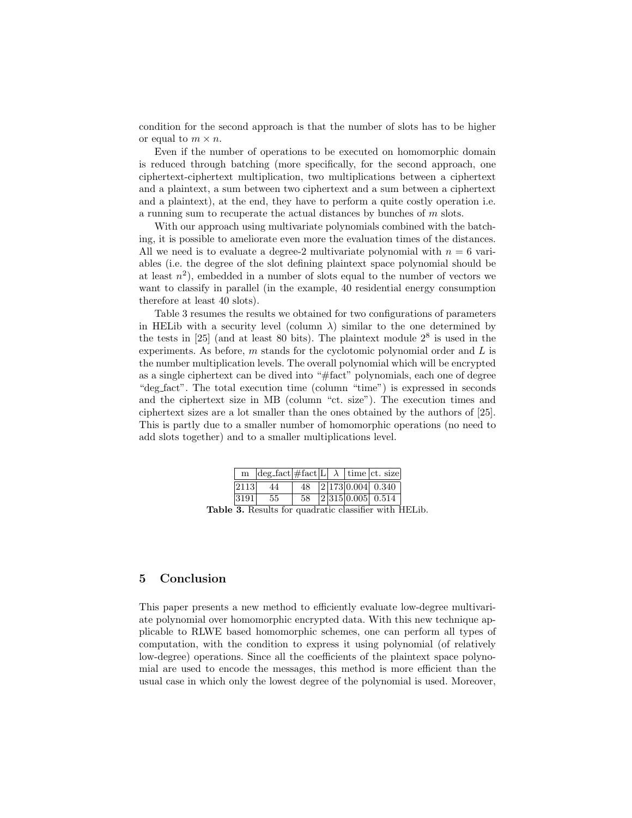condition for the second approach is that the number of slots has to be higher or equal to  $m \times n$ .

Even if the number of operations to be executed on homomorphic domain is reduced through batching (more specifically, for the second approach, one ciphertext-ciphertext multiplication, two multiplications between a ciphertext and a plaintext, a sum between two ciphertext and a sum between a ciphertext and a plaintext), at the end, they have to perform a quite costly operation i.e. a running sum to recuperate the actual distances by bunches of m slots.

With our approach using multivariate polynomials combined with the batching, it is possible to ameliorate even more the evaluation times of the distances. All we need is to evaluate a degree-2 multivariate polynomial with  $n = 6$  variables (i.e. the degree of the slot defining plaintext space polynomial should be at least  $n^2$ ), embedded in a number of slots equal to the number of vectors we want to classify in parallel (in the example, 40 residential energy consumption therefore at least 40 slots).

Table 3 resumes the results we obtained for two configurations of parameters in HELib with a security level (column  $\lambda$ ) similar to the one determined by the tests in  $[25]$  (and at least 80 bits). The plaintext module  $2^8$  is used in the experiments. As before,  $m$  stands for the cyclotomic polynomial order and  $L$  is the number multiplication levels. The overall polynomial which will be encrypted as a single ciphertext can be dived into "#fact" polynomials, each one of degree "deg fact". The total execution time (column "time") is expressed in seconds and the ciphertext size in MB (column "ct. size"). The execution times and ciphertext sizes are a lot smaller than the ones obtained by the authors of [25]. This is partly due to a smaller number of homomorphic operations (no need to add slots together) and to a smaller multiplications level.

| m    | $ \text{deg\_fact} $ #fact $ L $ $\lambda$   time   ct. size |    |  |                       |  |
|------|--------------------------------------------------------------|----|--|-----------------------|--|
| 2113 |                                                              | 48 |  | $ 2 173 0.004 $ 0.340 |  |
| 3191 | 55                                                           | 58 |  | $ 2 315 0.005 $ 0.514 |  |

Table 3. Results for quadratic classifier with HELib.

## 5 Conclusion

This paper presents a new method to efficiently evaluate low-degree multivariate polynomial over homomorphic encrypted data. With this new technique applicable to RLWE based homomorphic schemes, one can perform all types of computation, with the condition to express it using polynomial (of relatively low-degree) operations. Since all the coefficients of the plaintext space polynomial are used to encode the messages, this method is more efficient than the usual case in which only the lowest degree of the polynomial is used. Moreover,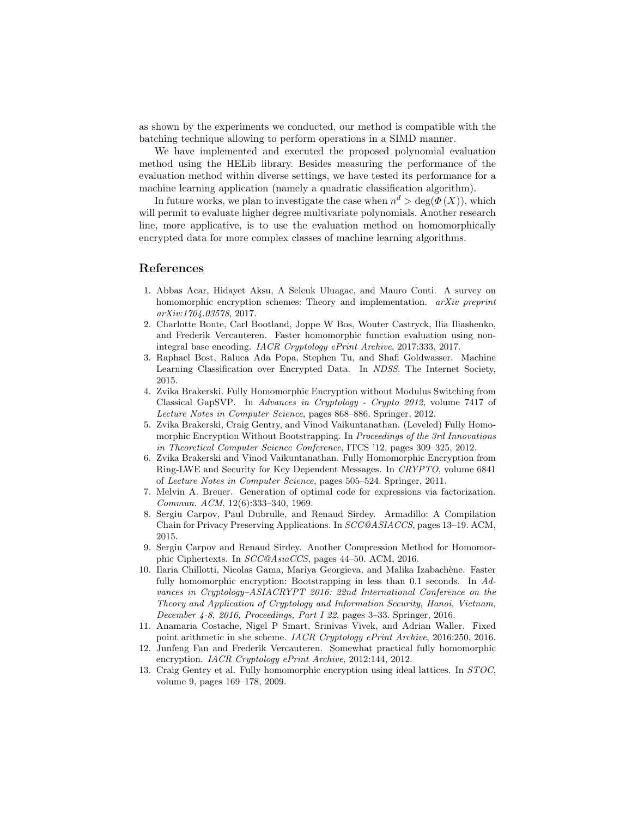as shown by the experiments we conducted, our method is compatible with the batching technique allowing to perform operations in a SIMD manner.

We have implemented and executed the proposed polynomial evaluation method using the HELib library. Besides measuring the performance of the evaluation method within diverse settings, we have tested its performance for a machine learning application (namely a quadratic classification algorithm).

In future works, we plan to investigate the case when  $n^d > \deg(\Phi(X))$ , which will permit to evaluate higher degree multivariate polynomials. Another research line, more applicative, is to use the evaluation method on homomorphically encrypted data for more complex classes of machine learning algorithms.

### References

- 1. Abbas Acar, Hidayet Aksu, A Selcuk Uluagac, and Mauro Conti. A survey on homomorphic encryption schemes: Theory and implementation. arXiv preprint arXiv:1704.03578, 2017.
- 2. Charlotte Bonte, Carl Bootland, Joppe W Bos, Wouter Castryck, Ilia Iliashenko, and Frederik Vercauteren. Faster homomorphic function evaluation using nonintegral base encoding. IACR Cryptology ePrint Archive, 2017:333, 2017.
- 3. Raphael Bost, Raluca Ada Popa, Stephen Tu, and Shafi Goldwasser. Machine Learning Classification over Encrypted Data. In NDSS. The Internet Society, 2015.
- 4. Zvika Brakerski. Fully Homomorphic Encryption without Modulus Switching from Classical GapSVP. In Advances in Cryptology - Crypto 2012, volume 7417 of Lecture Notes in Computer Science, pages 868–886. Springer, 2012.
- 5. Zvika Brakerski, Craig Gentry, and Vinod Vaikuntanathan. (Leveled) Fully Homomorphic Encryption Without Bootstrapping. In Proceedings of the 3rd Innovations in Theoretical Computer Science Conference, ITCS '12, pages 309–325, 2012.
- 6. Zvika Brakerski and Vinod Vaikuntanathan. Fully Homomorphic Encryption from Ring-LWE and Security for Key Dependent Messages. In CRYPTO, volume 6841 of Lecture Notes in Computer Science, pages 505–524. Springer, 2011.
- 7. Melvin A. Breuer. Generation of optimal code for expressions via factorization. Commun. ACM, 12(6):333–340, 1969.
- 8. Sergiu Carpov, Paul Dubrulle, and Renaud Sirdey. Armadillo: A Compilation Chain for Privacy Preserving Applications. In SCC@ASIACCS, pages 13–19. ACM, 2015.
- 9. Sergiu Carpov and Renaud Sirdey. Another Compression Method for Homomorphic Ciphertexts. In SCC@AsiaCCS, pages 44–50. ACM, 2016.
- 10. Ilaria Chillotti, Nicolas Gama, Mariya Georgieva, and Malika Izabach`ene. Faster fully homomorphic encryption: Bootstrapping in less than 0.1 seconds. In Advances in Cryptology–ASIACRYPT 2016: 22nd International Conference on the Theory and Application of Cryptology and Information Security, Hanoi, Vietnam, December 4-8, 2016, Proceedings, Part I 22, pages 3–33. Springer, 2016.
- 11. Anamaria Costache, Nigel P Smart, Srinivas Vivek, and Adrian Waller. Fixed point arithmetic in she scheme. IACR Cryptology ePrint Archive, 2016:250, 2016.
- 12. Junfeng Fan and Frederik Vercauteren. Somewhat practical fully homomorphic encryption. IACR Cryptology ePrint Archive, 2012:144, 2012.
- 13. Craig Gentry et al. Fully homomorphic encryption using ideal lattices. In STOC, volume 9, pages 169–178, 2009.